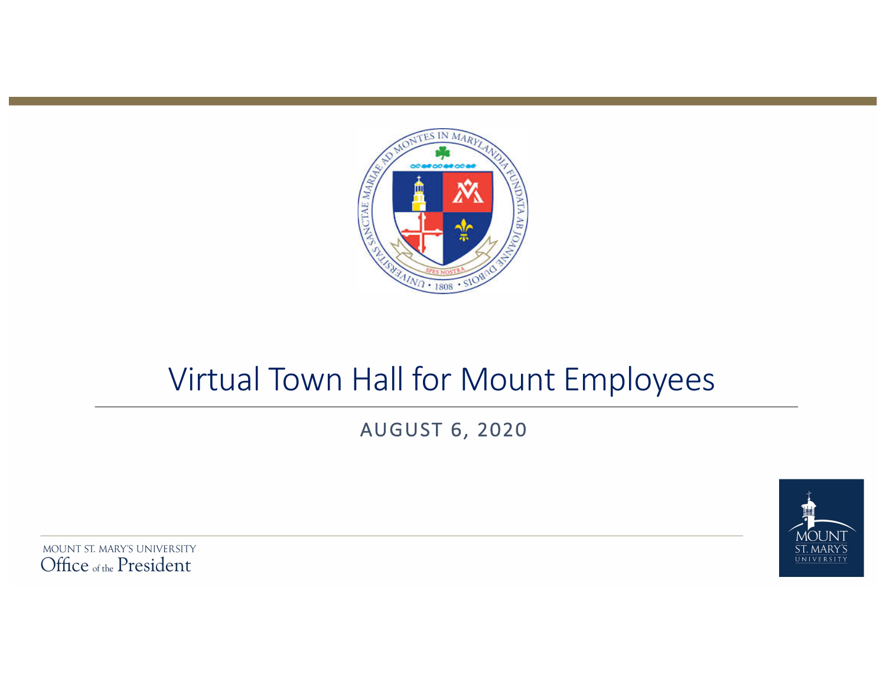

# Virtual Town Hall for Mount Employees

AUGUST 6, 2020

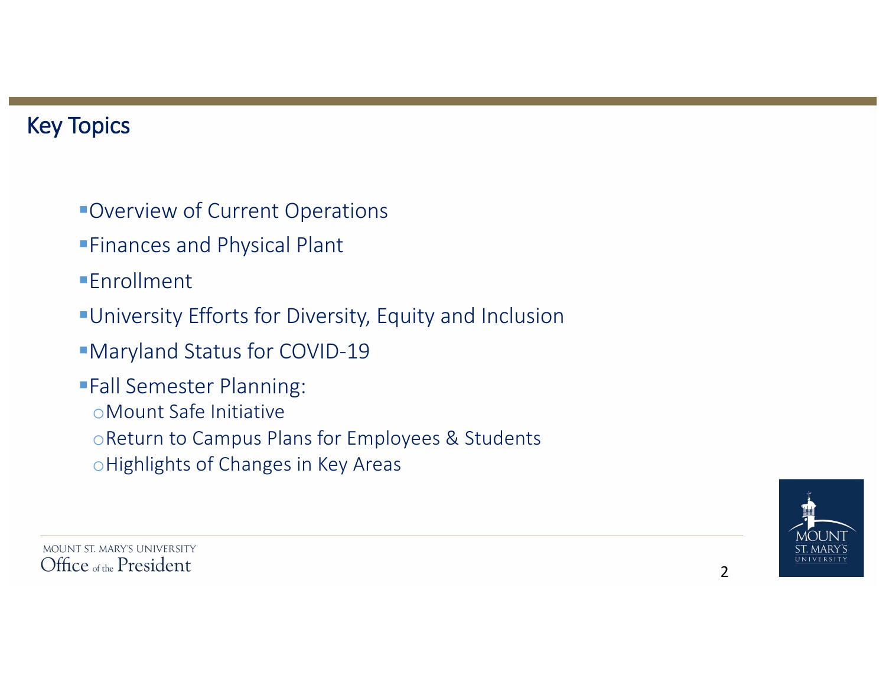# **Key Topics**

- **Overview of Current Operations**
- **Finances and Physical Plant**
- ■**Fnrollment**
- **•University Efforts for Diversity, Equity and Inclusion**
- §Maryland Status for COVID-19
- **Fall Semester Planning:** oMount Safe Initiative o Return to Campus Plans for Employees & Students o Highlights of Changes in Key Areas

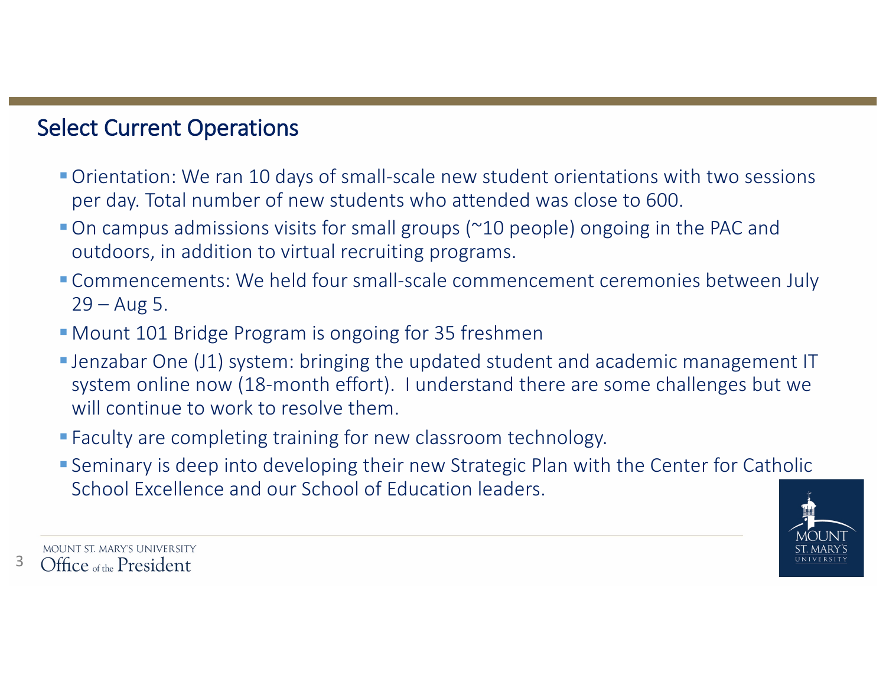### **Select Current Operations**

- Orientation: We ran 10 days of small-scale new student orientations with two sessions per day. Total number of new students who attended was close to 600.
- $\blacksquare$  On campus admissions visits for small groups ( $\sim$ 10 people) ongoing in the PAC and outdoors, in addition to virtual recruiting programs.
- **Commencements:** We held four small-scale commencement ceremonies between July  $29 - Aug\ 5.$
- Mount 101 Bridge Program is ongoing for 35 freshmen
- Jenzabar One (J1) system: bringing the updated student and academic management IT system online now (18-month effort). I understand there are some challenges but we will continue to work to resolve them.
- Faculty are completing training for new classroom technology.
- Seminary is deep into developing their new Strategic Plan with the Center for Catholic School Excellence and our School of Education leaders.



MOUNT ST. MARY'S UNIVERSITY 3 Office of the President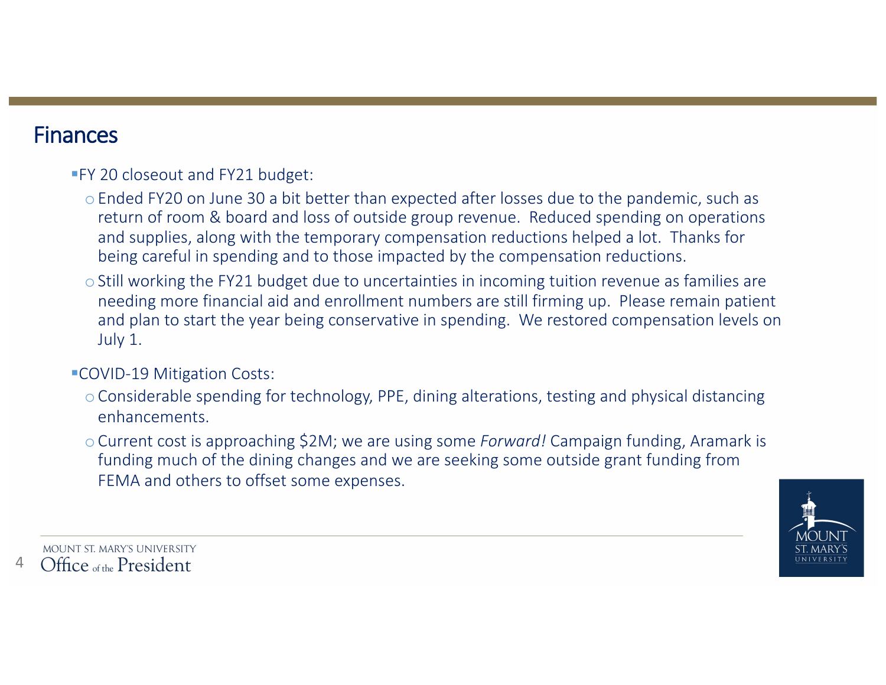#### Finances

#### **FY 20 closeout and FY21 budget:**

- o Ended FY20 on June 30 a bit better than expected after losses due to the pandemic, such as return of room & board and loss of outside group revenue. Reduced spending on operations and supplies, along with the temporary compensation reductions helped a lot. Thanks for being careful in spending and to those impacted by the compensation reductions.
- $\circ$  Still working the FY21 budget due to uncertainties in incoming tuition revenue as families are needing more financial aid and enrollment numbers are still firming up. Please remain patient and plan to start the year being conservative in spending. We restored compensation levels on July 1.

#### ■COVID-19 Mitigation Costs:

- o Considerable spending for technology, PPE, dining alterations, testing and physical distancing enhancements.
- o Current cost is approaching \$2M; we are using some *Forward!* Campaign funding, Aramark is funding much of the dining changes and we are seeking some outside grant funding from FEMA and others to offset some expenses.

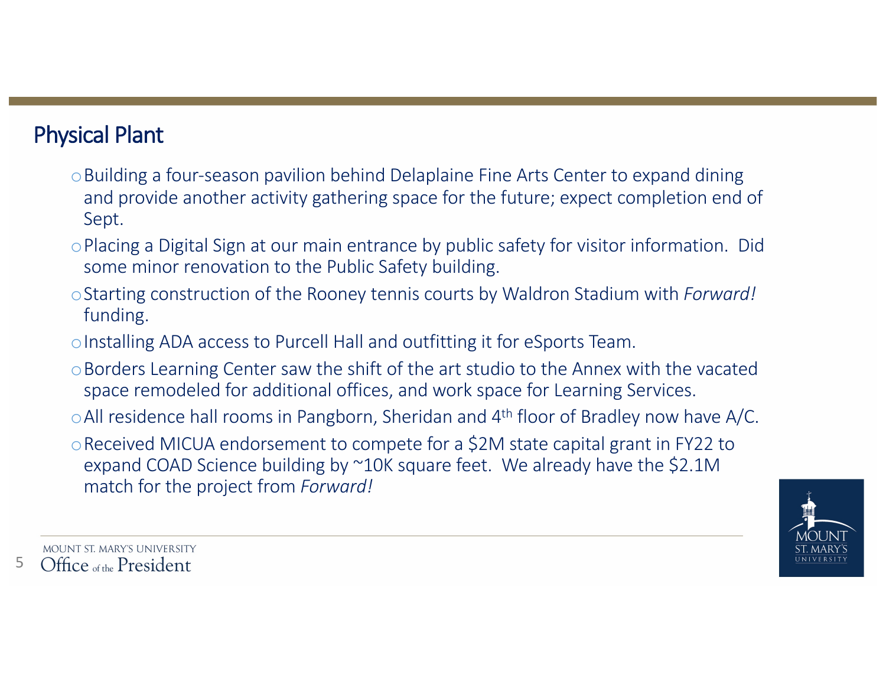# **Physical Plant**

- o Building a four-season pavilion behind Delaplaine Fine Arts Center to expand dining and provide another activity gathering space for the future; expect completion end of Sept.
- o Placing a Digital Sign at our main entrance by public safety for visitor information. Did some minor renovation to the Public Safety building.
- o Starting construction of the Rooney tennis courts by Waldron Stadium with *Forward!* funding.
- o Installing ADA access to Purcell Hall and outfitting it for eSports Team.
- $\circ$ Borders Learning Center saw the shift of the art studio to the Annex with the vacated space remodeled for additional offices, and work space for Learning Services.
- $\circ$  All residence hall rooms in Pangborn, Sheridan and 4<sup>th</sup> floor of Bradley now have A/C.
- Received MICUA endorsement to compete for a \$2M state capital grant in FY22 to expand COAD Science building by ~10K square feet. We already have the \$2.1M match for the project from *Forward!*

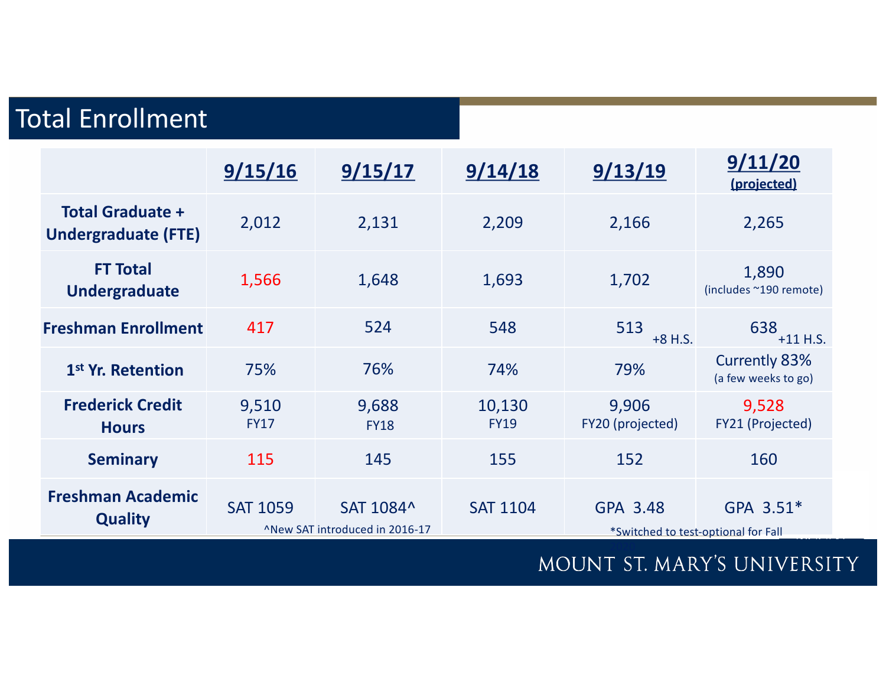# **Total Enrollment**

|                                                       | 9/15/16              | 9/15/17                                     | 9/14/18               | 9/13/19                   | 9/11/20<br>(projected)                           |
|-------------------------------------------------------|----------------------|---------------------------------------------|-----------------------|---------------------------|--------------------------------------------------|
| <b>Total Graduate +</b><br><b>Undergraduate (FTE)</b> | 2,012                | 2,131                                       | 2,209                 | 2,166                     | 2,265                                            |
| <b>FT Total</b><br>Undergraduate                      | 1,566                | 1,648                                       | 1,693                 | 1,702                     | 1,890<br>(includes ~190 remote)                  |
| <b>Freshman Enrollment</b>                            | 417                  | 524                                         | 548                   | 513<br>$+8$ H.S.          | 638<br>$+11$ H.S.                                |
| 1 <sup>st</sup> Yr. Retention                         | 75%                  | 76%                                         | 74%                   | 79%                       | <b>Currently 83%</b><br>(a few weeks to go)      |
| <b>Frederick Credit</b><br><b>Hours</b>               | 9,510<br><b>FY17</b> | 9,688<br><b>FY18</b>                        | 10,130<br><b>FY19</b> | 9,906<br>FY20 (projected) | 9,528<br>FY21 (Projected)                        |
| <b>Seminary</b>                                       | 115                  | 145                                         | 155                   | 152                       | 160                                              |
| <b>Freshman Academic</b><br><b>Quality</b>            | <b>SAT 1059</b>      | SAT 1084^<br>^New SAT introduced in 2016-17 | <b>SAT 1104</b>       | GPA 3.48                  | GPA 3.51*<br>*Switched to test-optional for Fall |

# MOUNT ST. MARY'S UNIVERSITY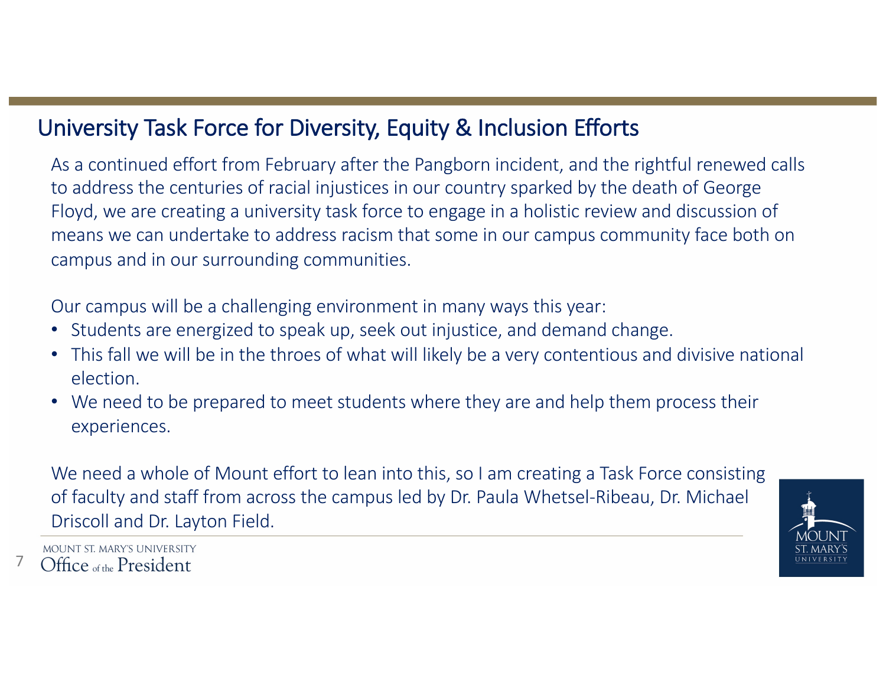# University Task Force for Diversity, Equity & Inclusion Efforts

As a continued effort from February after the Pangborn incident, and the rightful renewed calls to address the centuries of racial injustices in our country sparked by the death of George Floyd, we are creating a university task force to engage in a holistic review and discussion of means we can undertake to address racism that some in our campus community face both on campus and in our surrounding communities.

Our campus will be a challenging environment in many ways this year:

- Students are energized to speak up, seek out injustice, and demand change.
- This fall we will be in the throes of what will likely be a very contentious and divisive national election.
- We need to be prepared to meet students where they are and help them process their experiences.

We need a whole of Mount effort to lean into this, so I am creating a Task Force consisting of faculty and staff from across the campus led by Dr. Paula Whetsel-Ribeau, Dr. Michael Driscoll and Dr. Layton Field.



MOUNT ST. MARY'S UNIVERSITY Office of the President

7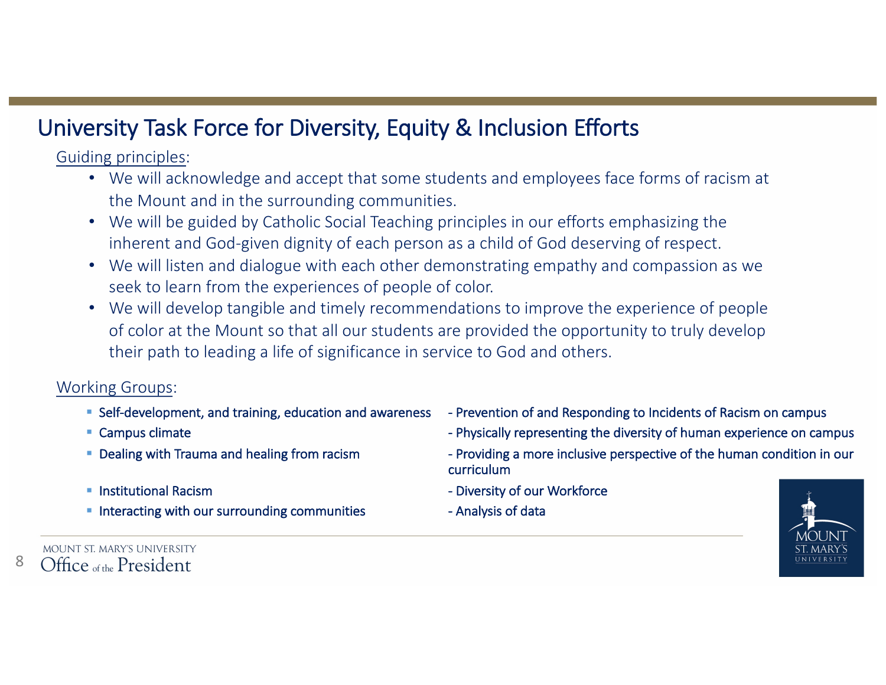# University Task Force for Diversity, Equity & Inclusion Efforts

Guiding principles:

- We will acknowledge and accept that some students and employees face forms of racism at the Mount and in the surrounding communities.
- We will be guided by Catholic Social Teaching principles in our efforts emphasizing the inherent and God-given dignity of each person as a child of God deserving of respect.
- We will listen and dialogue with each other demonstrating empathy and compassion as we seek to learn from the experiences of people of color.
- We will develop tangible and timely recommendations to improve the experience of people of color at the Mount so that all our students are provided the opportunity to truly develop their path to leading a life of significance in service to God and others.

#### Working Groups:

- 
- 
- 
- 
- Interacting with our surrounding communities Analysis of data
- Self-development, and training, education and awareness Prevention of and Responding to Incidents of Racism on campus
- Campus climate  $\blacksquare$  Campus climate
- Dealing with Trauma and healing from racism exactor and the Providing a more inclusive perspective of the human condition in our curriculum
- Institutional Racism and Diversity of our Workforce
	-



MOUNT ST. MARY'S UNIVERSITY Office of the President

8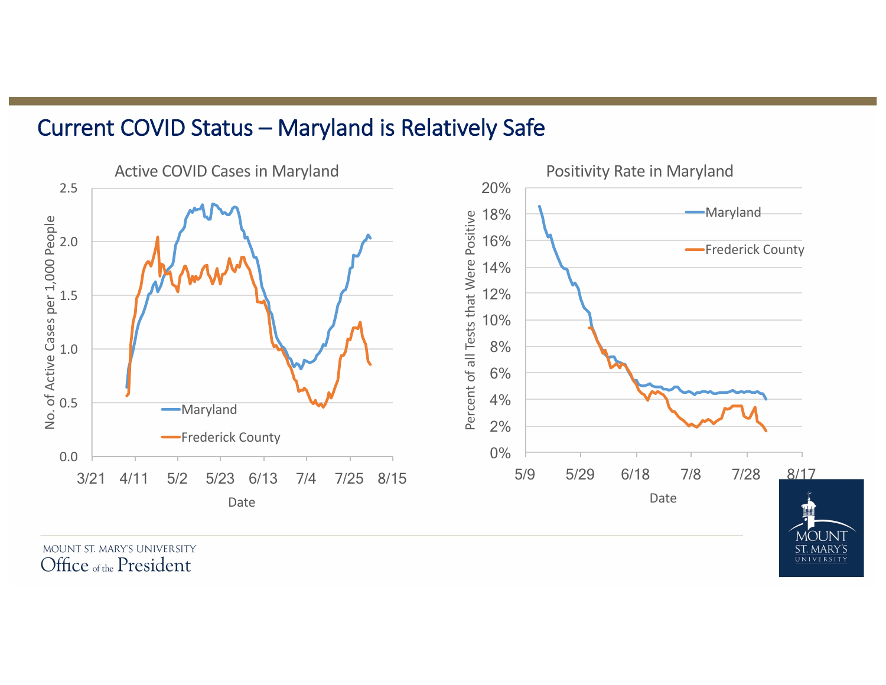#### Current COVID Status - Maryland is Relatively Safe



Office of the President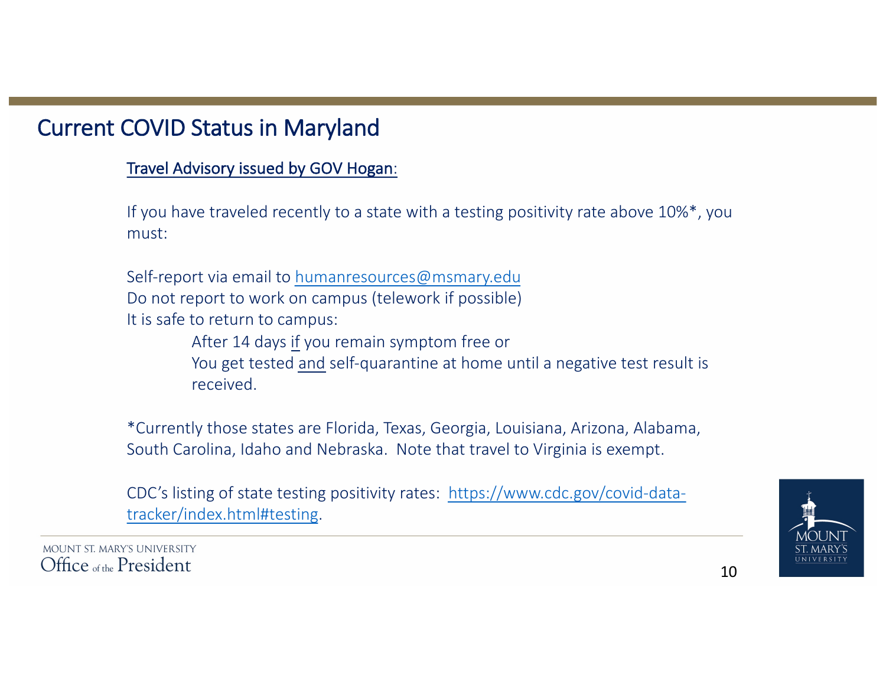# **Current COVID Status in Maryland**

#### Travel Advisory issued by GOV Hogan:

If you have traveled recently to a state with a testing positivity rate above  $10\%$ \*, you must:

Self-report via email to humanresources@msmary.edu Do not report to work on campus (telework if possible) It is safe to return to campus:

After 14 days if you remain symptom free or

You get tested and self-quarantine at home until a negative test result is received.

\*Currently those states are Florida, Texas, Georgia, Louisiana, Arizona, Alabama, South Carolina, Idaho and Nebraska. Note that travel to Virginia is exempt.

CDC's listing of state testing positivity rates: https://www.cdc.gov/covid-datatracker/index.html#testing.

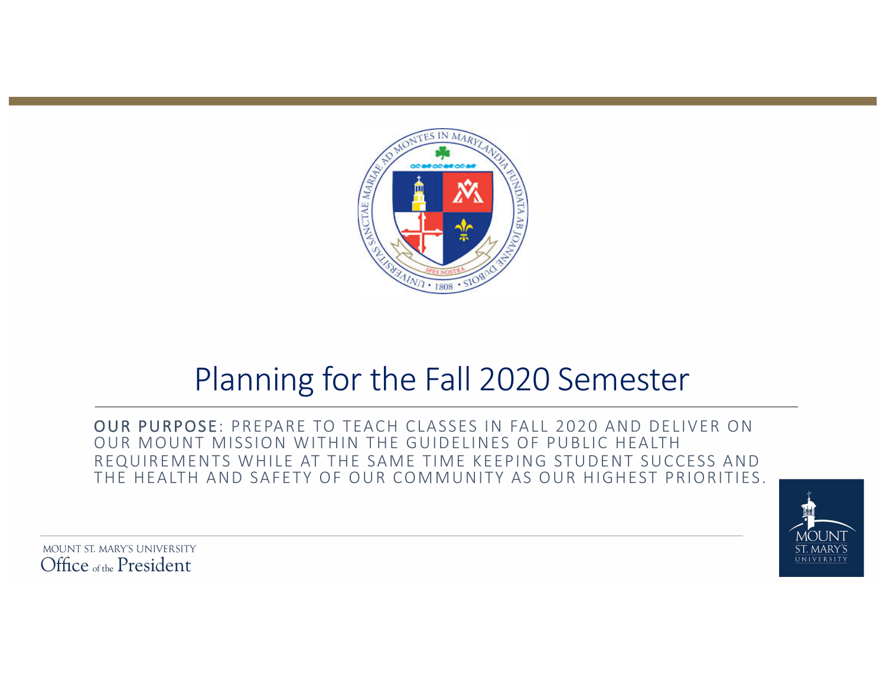

# Planning for the Fall 2020 Semester

OUR PURPOSE: PREPARE TO TEACH CLASSES IN FALL 2020 AND DELIVER ON OUR MOUNT MISSION WITHIN THE GUIDELINES OF PUBLIC HEALTH REQUIREMENTS WHILE AT THE SAME TIME KEEPING STUDENT SUCCESS AND THE HEALTH AND SAFETY OF OUR COMMUNITY AS OUR HIGHEST PRIORITIES.

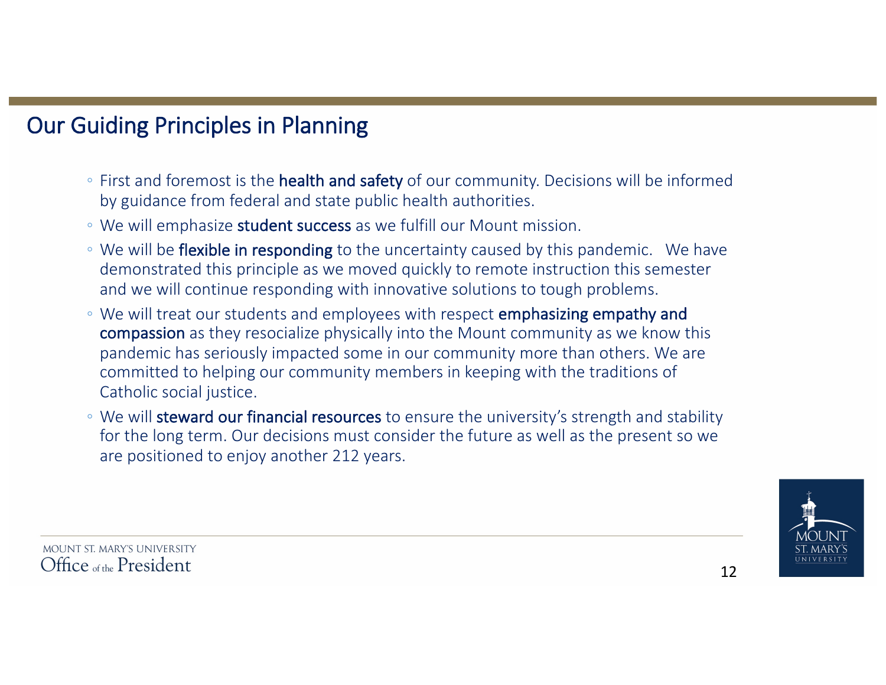# **Our Guiding Principles in Planning**

- First and foremost is the **health and safety** of our community. Decisions will be informed by guidance from federal and state public health authorities.
- We will emphasize **student success** as we fulfill our Mount mission.
- We will be flexible in responding to the uncertainty caused by this pandemic. We have demonstrated this principle as we moved quickly to remote instruction this semester and we will continue responding with innovative solutions to tough problems.
- We will treat our students and employees with respect **emphasizing empathy and** compassion as they resocialize physically into the Mount community as we know this pandemic has seriously impacted some in our community more than others. We are committed to helping our community members in keeping with the traditions of Catholic social justice.
- We will steward our financial resources to ensure the university's strength and stability for the long term. Our decisions must consider the future as well as the present so we are positioned to enjoy another 212 years.

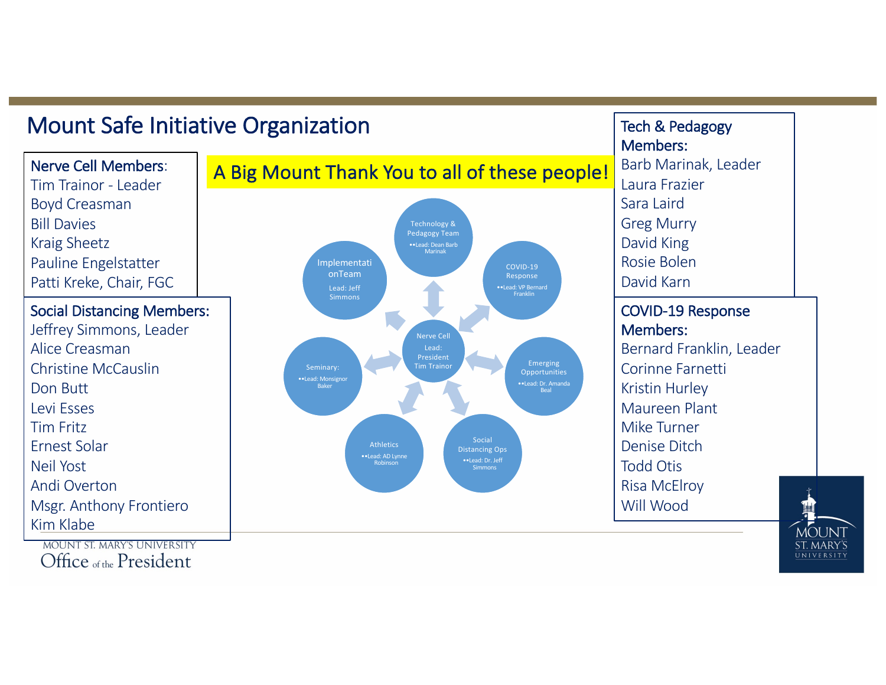# Mount Safe Initiative Organization

Nerve Cell Members: Tim Trainor - Leader Boyd Creasman **Bill Davies** Kraig Sheetz Pauline Engelstatter Patti Kreke, Chair, FGC

#### Social Distancing Members: Jeffrey Simmons, Leader Alice Creasman Christine McCauslin Don Butt Levi Esses Tim Fritz Ernest Solar Neil Yost Andi Overton Msgr. Anthony Frontiero Kim Klabe

**MOUNT ST. MARY'S UNIVERSITY** Office of the President



Tech & Pedagogy Members: Barb Marinak, Leader Laura Frazier Sara Laird **Greg Murry** David King Rosie Bolen David Karn COVID-19 Response 

Members: Bernard Franklin, Leader Corinne Farnetti **Kristin Hurley** Maureen Plant Mike Turner Denise Ditch Todd Otis Risa McElroy Will Wood

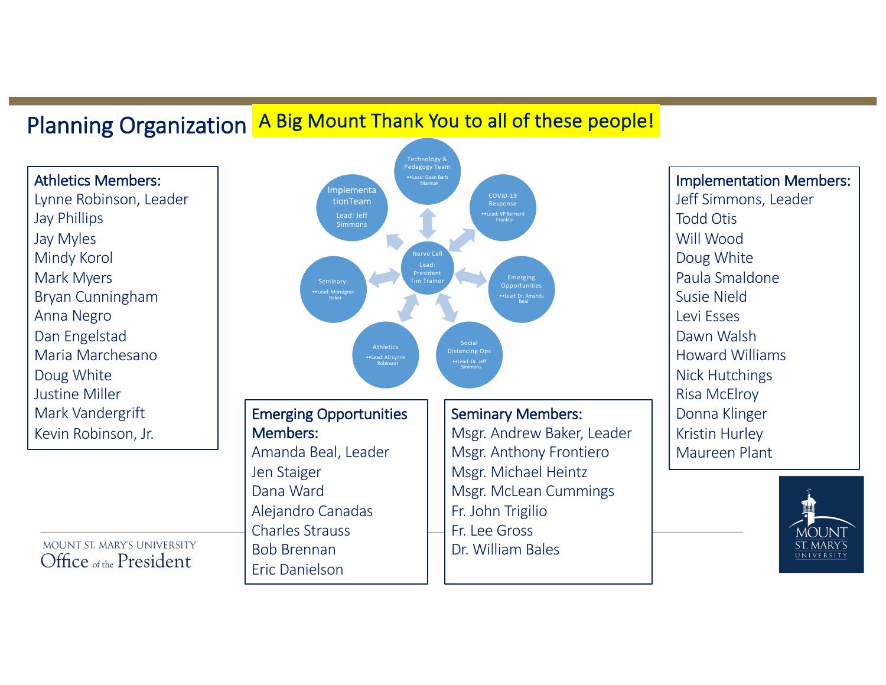# Planning Organization A Big Mount Thank You to all of these people!

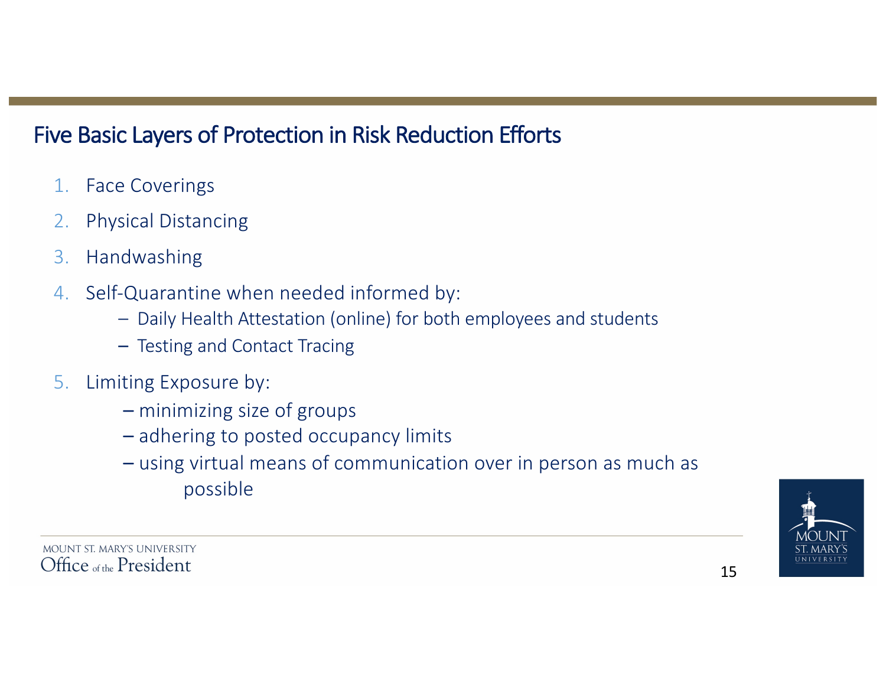# Five Basic Layers of Protection in Risk Reduction Efforts

- 1. Face Coverings
- 2. Physical Distancing
- 3. Handwashing
- 4. Self-Quarantine when needed informed by:
	- Daily Health Attestation (online) for both employees and students
	- Testing and Contact Tracing
- 5. Limiting Exposure by:
	- $-$  minimizing size of groups
	- adhering to posted occupancy limits
	- $-$  using virtual means of communication over in person as much as possible

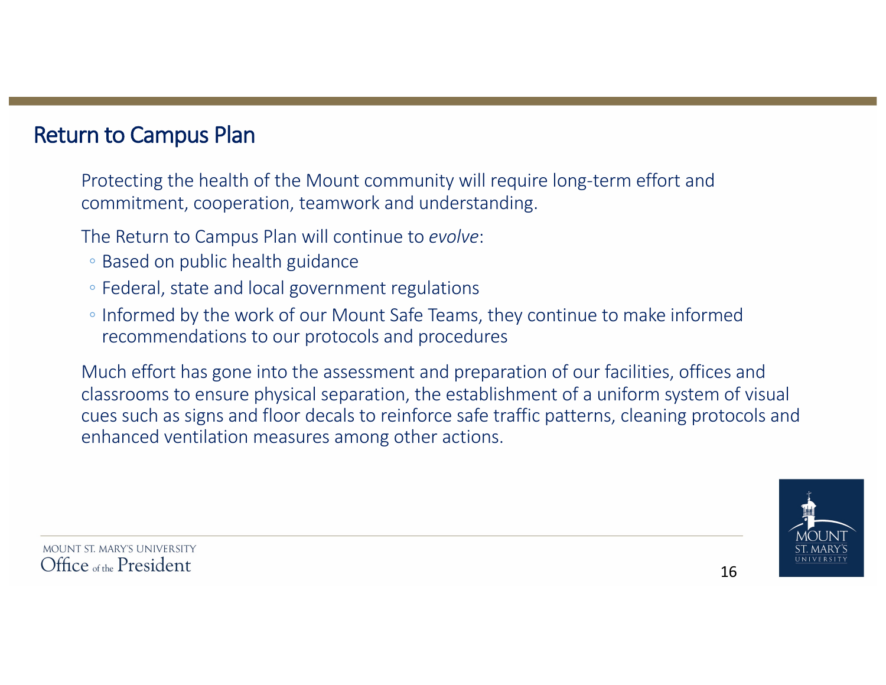### **Return to Campus Plan**

Protecting the health of the Mount community will require long-term effort and commitment, cooperation, teamwork and understanding.

The Return to Campus Plan will continue to *evolve*:

- Based on public health guidance
- Federal, state and local government regulations
- Informed by the work of our Mount Safe Teams, they continue to make informed recommendations to our protocols and procedures

Much effort has gone into the assessment and preparation of our facilities, offices and classrooms to ensure physical separation, the establishment of a uniform system of visual cues such as signs and floor decals to reinforce safe traffic patterns, cleaning protocols and enhanced ventilation measures among other actions.

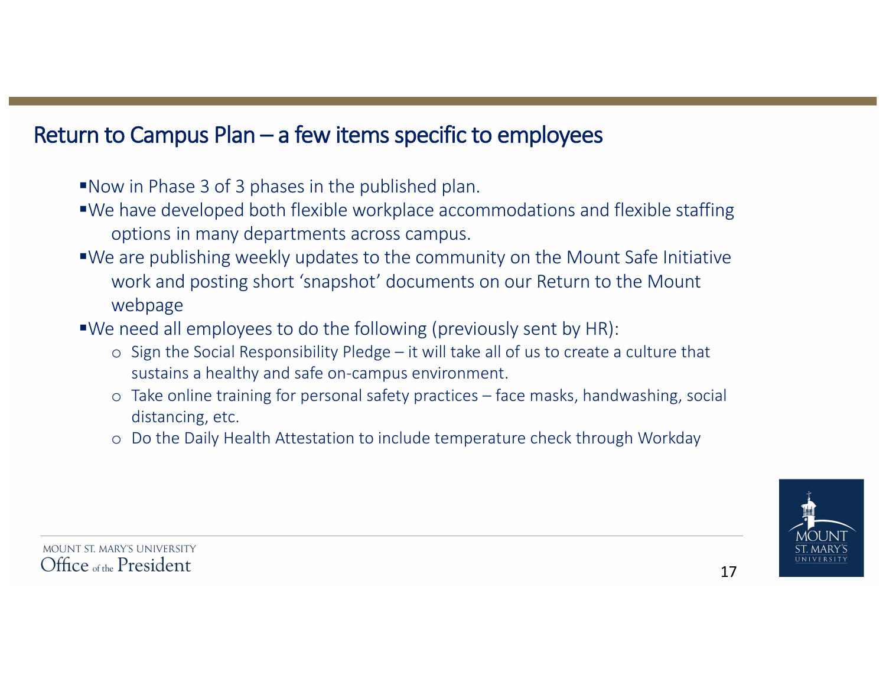# Return to Campus  $Plan - a$  few items specific to employees

- ■Now in Phase 3 of 3 phases in the published plan.
- ■We have developed both flexible workplace accommodations and flexible staffing options in many departments across campus.
- ■We are publishing weekly updates to the community on the Mount Safe Initiative work and posting short 'snapshot' documents on our Return to the Mount webpage
- $\blacktriangleright$ We need all employees to do the following (previously sent by HR):
	- o Sign the Social Responsibility Pledge it will take all of us to create a culture that sustains a healthy and safe on-campus environment.
	- $\circ$  Take online training for personal safety practices face masks, handwashing, social distancing, etc.
	- o Do the Daily Health Attestation to include temperature check through Workday

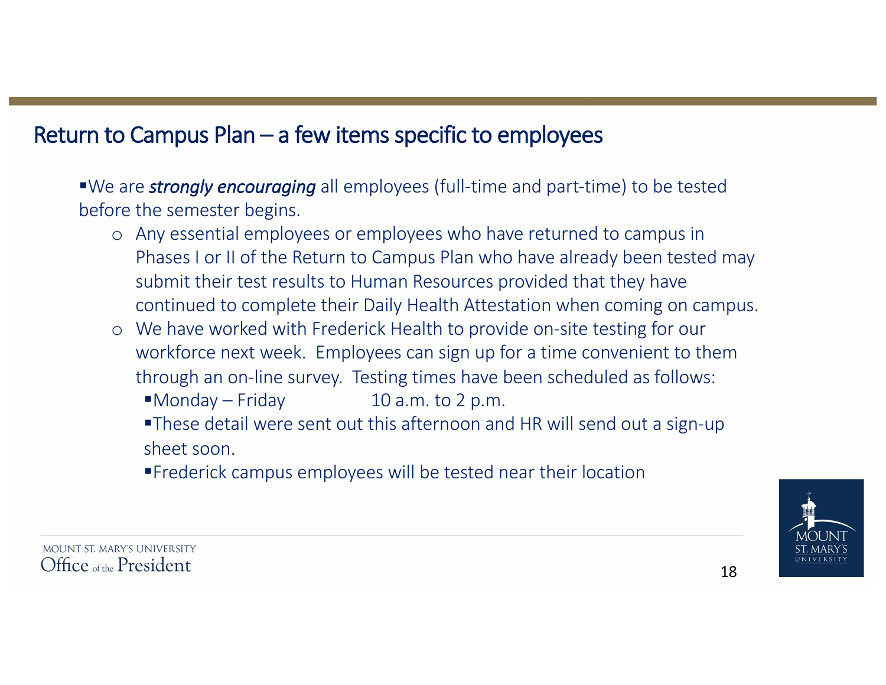# Return to Campus  $Plan - a$  few items specific to employees

■We are *strongly encouraging* all employees (full-time and part-time) to be tested before the semester begins.

- o Any essential employees or employees who have returned to campus in Phases I or II of the Return to Campus Plan who have already been tested may submit their test results to Human Resources provided that they have continued to complete their Daily Health Attestation when coming on campus.
- o We have worked with Frederick Health to provide on-site testing for our workforce next week. Employees can sign up for a time convenient to them through an on-line survey. Testing times have been scheduled as follows:

 $Monday-Friday$  10 a.m. to 2 p.m.

■These detail were sent out this afternoon and HR will send out a sign-up sheet soon

■Frederick campus employees will be tested near their location

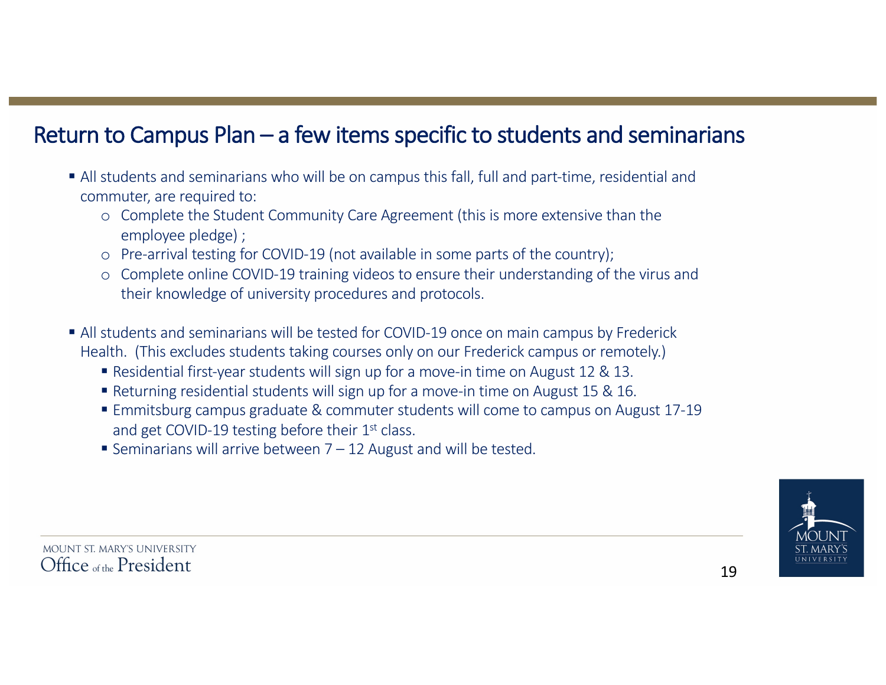# Return to Campus Plan  $-$  a few items specific to students and seminarians

- All students and seminarians who will be on campus this fall, full and part-time, residential and commuter, are required to:
	- o Complete the Student Community Care Agreement (this is more extensive than the employee pledge) ;
	- o Pre-arrival testing for COVID-19 (not available in some parts of the country);
	- o Complete online COVID-19 training videos to ensure their understanding of the virus and their knowledge of university procedures and protocols.
- All students and seminarians will be tested for COVID-19 once on main campus by Frederick Health. (This excludes students taking courses only on our Frederick campus or remotely.)
	- Residential first-year students will sign up for a move-in time on August 12 & 13.
	- Returning residential students will sign up for a move-in time on August 15 & 16.
	- Emmitsburg campus graduate & commuter students will come to campus on August 17-19 and get COVID-19 testing before their  $1<sup>st</sup>$  class.
	- Seminarians will arrive between  $7 12$  August and will be tested.

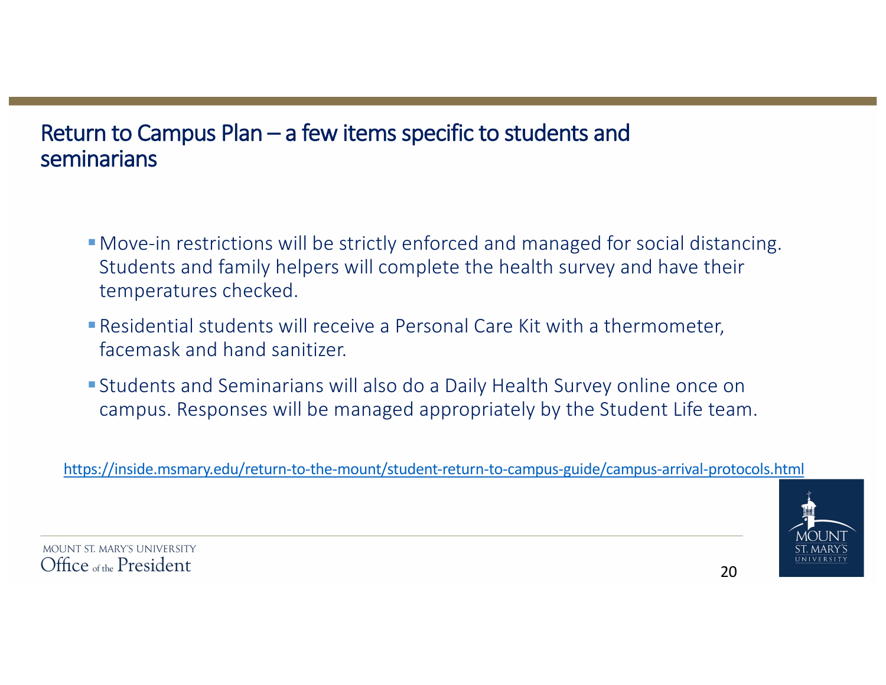# Return to Campus Plan  $-$  a few items specific to students and seminarians

- **Move-in restrictions will be strictly enforced and managed for social distancing.** Students and family helpers will complete the health survey and have their temperatures checked.
- Residential students will receive a Personal Care Kit with a thermometer, facemask and hand sanitizer.
- Students and Seminarians will also do a Daily Health Survey online once on campus. Responses will be managed appropriately by the Student Life team.

https://inside.msmary.edu/return-to-the-mount/student-return-to-campus-guide/campus-arrival-protocols.html

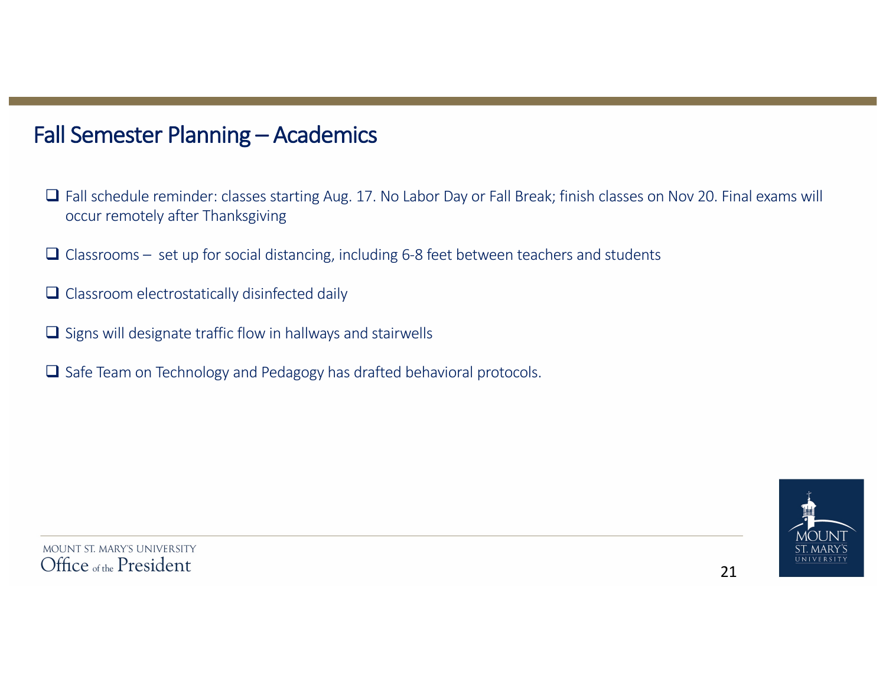### Fall Semester Planning - Academics

- $\Box$  Fall schedule reminder: classes starting Aug. 17. No Labor Day or Fall Break; finish classes on Nov 20. Final exams will occur remotely after Thanksgiving
- $\Box$  Classrooms set up for social distancing, including 6-8 feet between teachers and students
- $\Box$  Classroom electrostatically disinfected daily
- $\Box$  Signs will designate traffic flow in hallways and stairwells
- $\Box$  Safe Team on Technology and Pedagogy has drafted behavioral protocols.

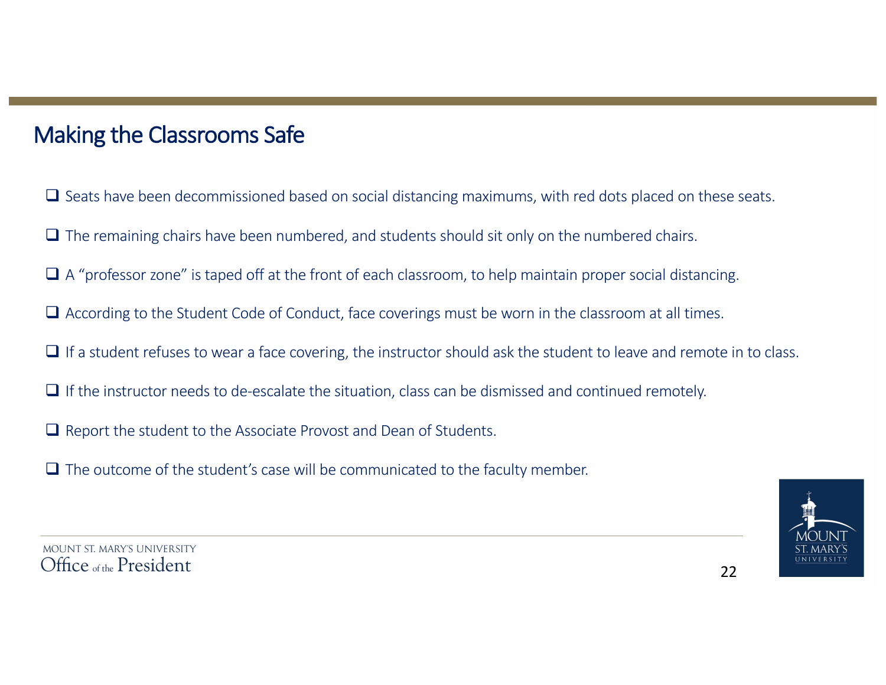# Making the Classrooms Safe

- $\Box$  Seats have been decommissioned based on social distancing maximums, with red dots placed on these seats.
- $\Box$  The remaining chairs have been numbered, and students should sit only on the numbered chairs.
- $\Box$  A "professor zone" is taped off at the front of each classroom, to help maintain proper social distancing.
- $\Box$  According to the Student Code of Conduct, face coverings must be worn in the classroom at all times.
- $\Box$  If a student refuses to wear a face covering, the instructor should ask the student to leave and remote in to class.
- $\Box$  If the instructor needs to de-escalate the situation, class can be dismissed and continued remotely.
- $\Box$  Report the student to the Associate Provost and Dean of Students.
- $\Box$  The outcome of the student's case will be communicated to the faculty member.



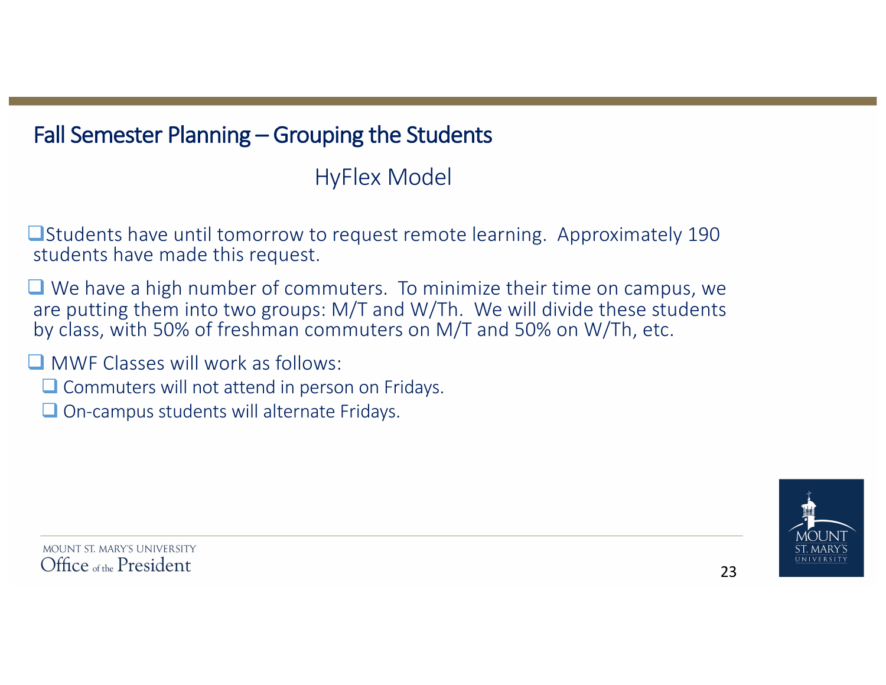# Fall Semester Planning – Grouping the Students

HyFlex Model

 $\Box$ Students have until tomorrow to request remote learning. Approximately 190 students have made this request.

 $\Box$  We have a high number of commuters. To minimize their time on campus, we are putting them into two groups: M/T and W/Th. We will divide these students by class, with 50% of freshman commuters on M/T and 50% on W/Th, etc.

 $\Box$  MWF Classes will work as follows:

- $\Box$  Commuters will not attend in person on Fridays.
- $\Box$  On-campus students will alternate Fridays.

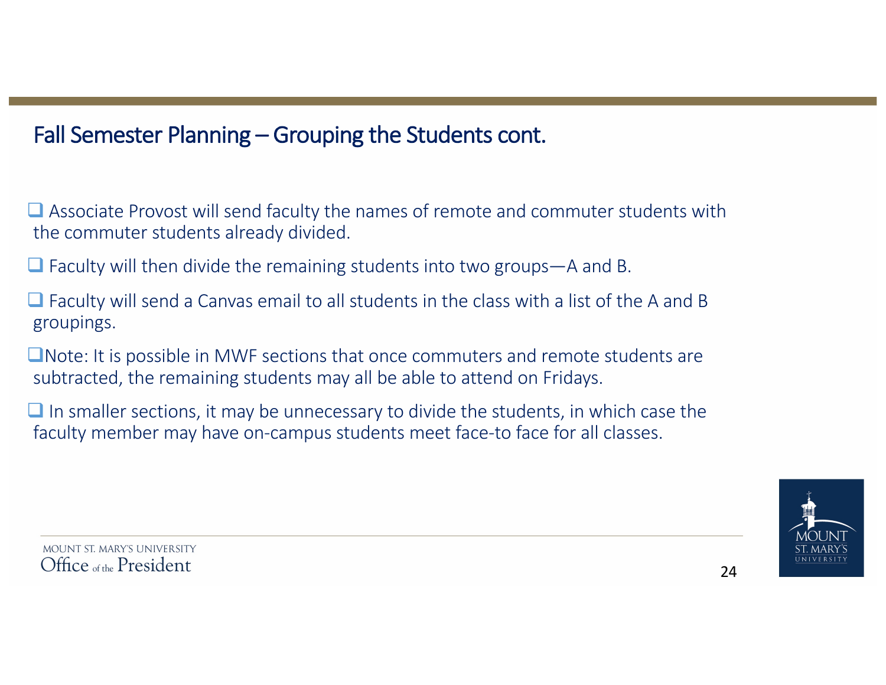# Fall Semester Planning – Grouping the Students cont.

 $\Box$  Associate Provost will send faculty the names of remote and commuter students with the commuter students already divided.

 $\Box$  Faculty will then divide the remaining students into two groups—A and B.

 $\Box$  Faculty will send a Canvas email to all students in the class with a list of the A and B groupings. 

 $\Box$ Note: It is possible in MWF sections that once commuters and remote students are subtracted, the remaining students may all be able to attend on Fridays.

 $\Box$  In smaller sections, it may be unnecessary to divide the students, in which case the faculty member may have on-campus students meet face-to face for all classes.

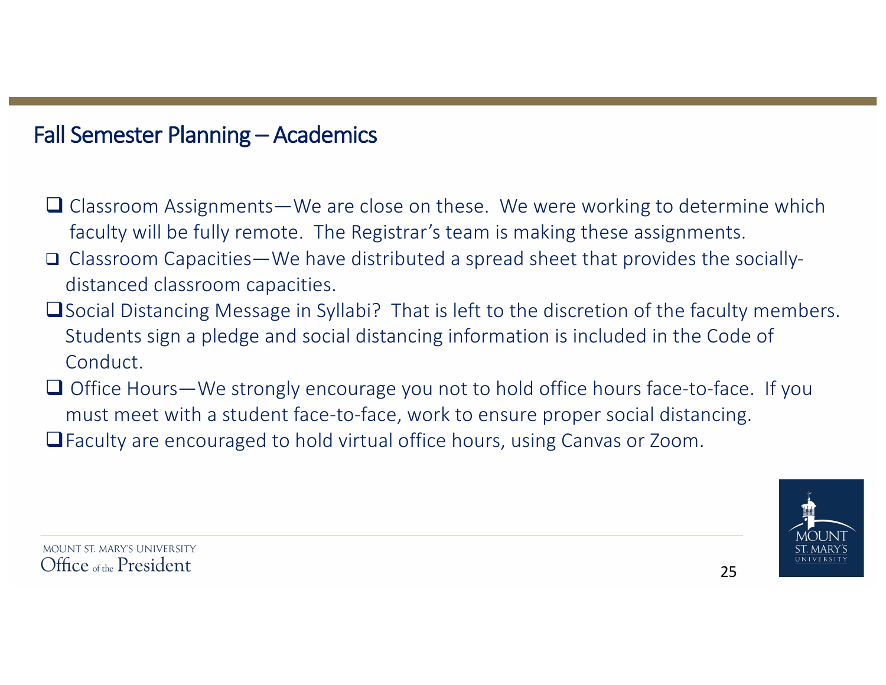### Fall Semester Planning – Academics

- $\Box$  Classroom Assignments—We are close on these. We were working to determine which faculty will be fully remote. The Registrar's team is making these assignments.
- **Q** Classroom Capacities—We have distributed a spread sheet that provides the sociallydistanced classroom capacities.
- □ Social Distancing Message in Syllabi? That is left to the discretion of the faculty members. Students sign a pledge and social distancing information is included in the Code of Conduct.
- $\Box$  Office Hours—We strongly encourage you not to hold office hours face-to-face. If you must meet with a student face-to-face, work to ensure proper social distancing.
- $\Box$  Faculty are encouraged to hold virtual office hours, using Canvas or Zoom.

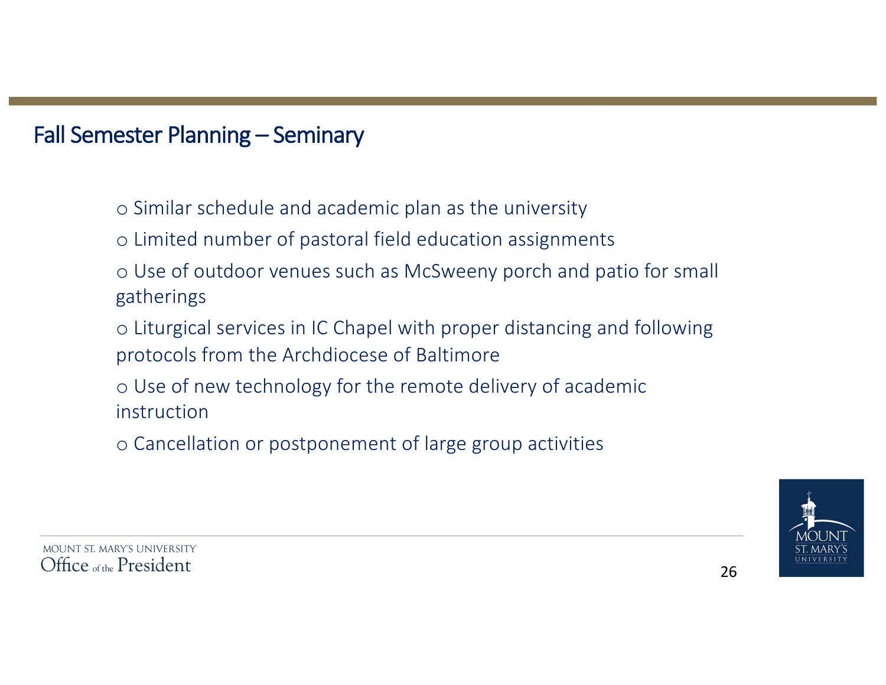- $\circ$  Similar schedule and academic plan as the university
- o Limited number of pastoral field education assignments
- $\circ$  Use of outdoor venues such as McSweeny porch and patio for small gatherings
- o Liturgical services in IC Chapel with proper distancing and following protocols from the Archdiocese of Baltimore
- $\circ$  Use of new technology for the remote delivery of academic instruction
- o Cancellation or postponement of large group activities

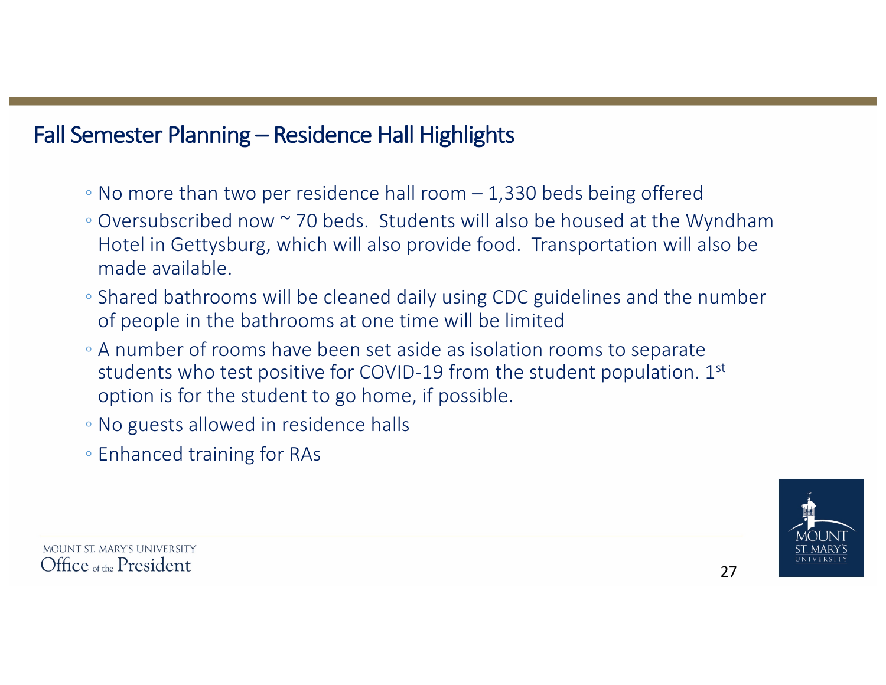# Fall Semester Planning – Residence Hall Highlights

- $\degree$  No more than two per residence hall room  $-$  1,330 beds being offered
- $\degree$  Oversubscribed now  $\degree$  70 beds. Students will also be housed at the Wyndham Hotel in Gettysburg, which will also provide food. Transportation will also be made available.
- Shared bathrooms will be cleaned daily using CDC guidelines and the number of people in the bathrooms at one time will be limited
- A number of rooms have been set aside as isolation rooms to separate students who test positive for COVID-19 from the student population.  $1<sup>st</sup>$ option is for the student to go home, if possible.
- No guests allowed in residence halls
- Enhanced training for RAs

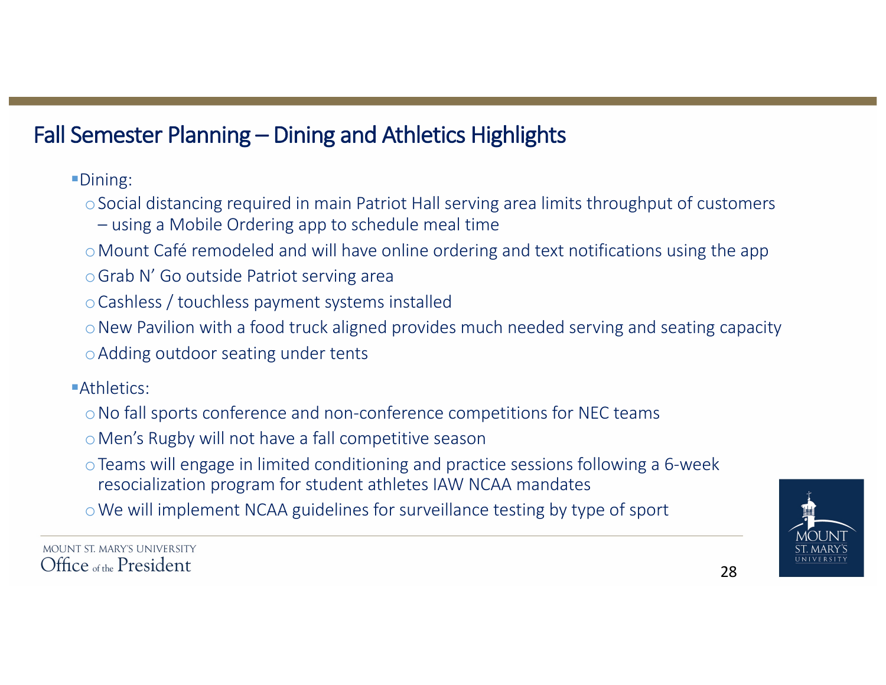# Fall Semester Planning – Dining and Athletics Highlights

§Dining: 

- $\circ$  Social distancing required in main Patriot Hall serving area limits throughput of customers  $-$  using a Mobile Ordering app to schedule meal time
- $\circ$  Mount Café remodeled and will have online ordering and text notifications using the app
- o Grab N' Go outside Patriot serving area
- o Cashless / touchless payment systems installed
- $\circ$  New Pavilion with a food truck aligned provides much needed serving and seating capacity
- o Adding outdoor seating under tents

■Athletics:

- o No fall sports conference and non-conference competitions for NEC teams
- o Men's Rugby will not have a fall competitive season
- $\circ$  Teams will engage in limited conditioning and practice sessions following a 6-week resocialization program for student athletes IAW NCAA mandates
- o We will implement NCAA guidelines for surveillance testing by type of sport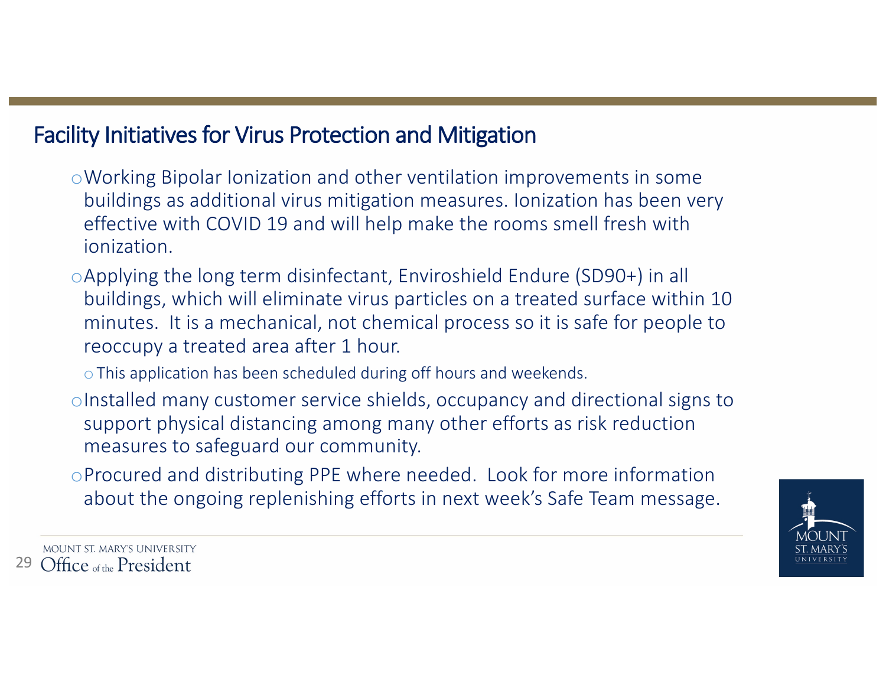# Facility Initiatives for Virus Protection and Mitigation

- o Working Bipolar Ionization and other ventilation improvements in some buildings as additional virus mitigation measures. Ionization has been very effective with COVID 19 and will help make the rooms smell fresh with ionization.
- $\circ$ Applying the long term disinfectant, Enviroshield Endure (SD90+) in all buildings, which will eliminate virus particles on a treated surface within 10 minutes. It is a mechanical, not chemical process so it is safe for people to reoccupy a treated area after 1 hour.
	- $\circ$  This application has been scheduled during off hours and weekends.
- oInstalled many customer service shields, occupancy and directional signs to support physical distancing among many other efforts as risk reduction measures to safeguard our community.
- oProcured and distributing PPE where needed. Look for more information about the ongoing replenishing efforts in next week's Safe Team message.

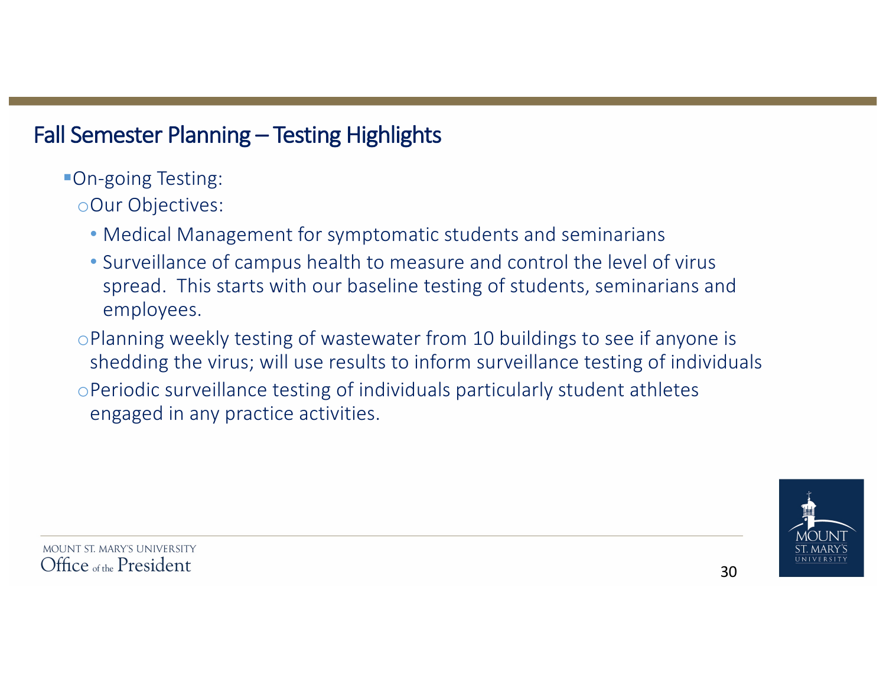# Fall Semester Planning – Testing Highlights

■On-going Testing:

oOur Objectives:

- Medical Management for symptomatic students and seminarians
- Surveillance of campus health to measure and control the level of virus spread. This starts with our baseline testing of students, seminarians and employees.
- $\circ$ Planning weekly testing of wastewater from 10 buildings to see if anyone is shedding the virus; will use results to inform surveillance testing of individuals oPeriodic surveillance testing of individuals particularly student athletes

engaged in any practice activities.

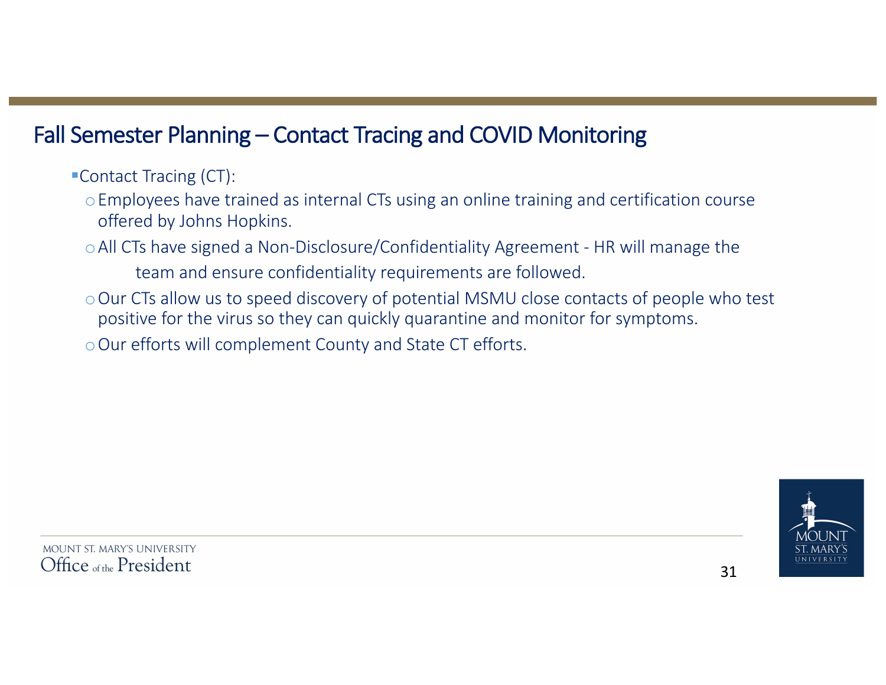# Fall Semester Planning – Contact Tracing and COVID Monitoring

■Contact Tracing (CT):

- o Employees have trained as internal CTs using an online training and certification course offered by Johns Hopkins.
- o All CTs have signed a Non-Disclosure/Confidentiality Agreement HR will manage the
	- team and ensure confidentiality requirements are followed.
- o Our CTs allow us to speed discovery of potential MSMU close contacts of people who test positive for the virus so they can quickly quarantine and monitor for symptoms.
- o Our efforts will complement County and State CT efforts.

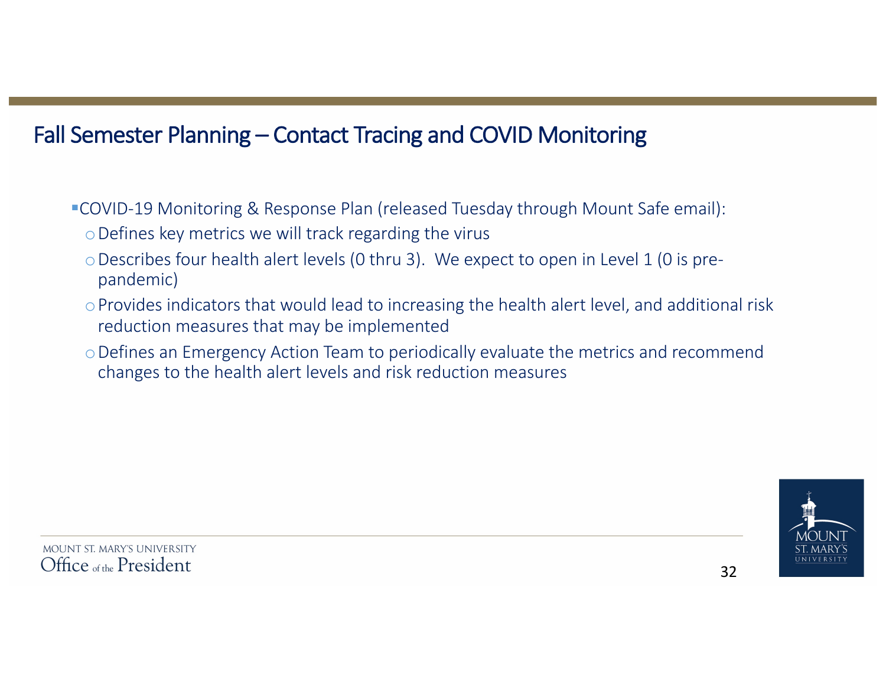# Fall Semester Planning – Contact Tracing and COVID Monitoring

■ COVID-19 Monitoring & Response Plan (released Tuesday through Mount Safe email):

- $\circ$  Defines key metrics we will track regarding the virus
- $\circ$  Describes four health alert levels (0 thru 3). We expect to open in Level 1 (0 is prepandemic)
- $\circ$  Provides indicators that would lead to increasing the health alert level, and additional risk reduction measures that may be implemented
- o Defines an Emergency Action Team to periodically evaluate the metrics and recommend changes to the health alert levels and risk reduction measures